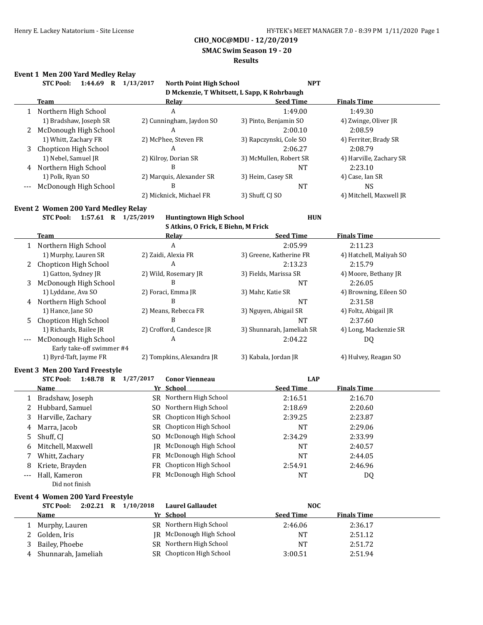**SMAC Swim Season 19 - 20**

#### **Results**

### **Event 1 Men 200 Yard Medley Relay**

|                     | <b>STC Pool:</b><br>1:44.69<br>R | 1/13/2017<br><b>North Point High School</b> | <b>NPT</b>                                  |                         |
|---------------------|----------------------------------|---------------------------------------------|---------------------------------------------|-------------------------|
|                     |                                  |                                             | D Mckenzie, T Whitsett, L Sapp, K Rohrbaugh |                         |
|                     | Team                             | Relay                                       | <b>Seed Time</b>                            | <b>Finals Time</b>      |
|                     | Northern High School             | A                                           | 1:49.00                                     | 1:49.30                 |
|                     | 1) Bradshaw, Joseph SR           | 2) Cunningham, Jaydon SO                    | 3) Pinto, Benjamin SO                       | 4) Zwinge, Oliver JR    |
|                     | McDonough High School            | A                                           | 2:00.10                                     | 2:08.59                 |
|                     | 1) Whitt, Zachary FR             | 2) McPhee, Steven FR                        | 3) Rapczynski, Cole SO                      | 4) Ferriter, Brady SR   |
| 3                   | Chopticon High School            | A                                           | 2:06.27                                     | 2:08.79                 |
|                     | 1) Nebel, Samuel JR              | 2) Kilroy, Dorian SR                        | 3) McMullen, Robert SR                      | 4) Harville, Zachary SR |
| 4                   | Northern High School             | B                                           | NT                                          | 2:23.10                 |
|                     | 1) Polk, Ryan SO                 | 2) Marquis, Alexander SR                    | 3) Heim, Casey SR                           | 4) Case, Ian SR         |
| $\qquad \qquad - -$ | McDonough High School            | B                                           | NT                                          | NS.                     |
|                     |                                  | 2) Micknick, Michael FR                     | 3) Shuff, CI SO                             | 4) Mitchell, Maxwell JR |

#### **Event 2 Women 200 Yard Medley Relay**

**STC Pool: 1:57.61 R 1/25/2019 Huntingtown High School HUN**

**S Atkins, O Frick, E Biehn, M Frick**

|   | Team                      | Relay                     | <b>Seed Time</b>          | <b>Finals Time</b>      |
|---|---------------------------|---------------------------|---------------------------|-------------------------|
|   | Northern High School      | A                         | 2:05.99                   | 2:11.23                 |
|   | 1) Murphy, Lauren SR      | 2) Zaidi, Alexia FR       | 3) Greene, Katherine FR   | 4) Hatchell, Maliyah SO |
|   | 2 Chopticon High School   | A                         | 2:13.23                   | 2:15.79                 |
|   | 1) Gatton, Sydney JR      | 2) Wild, Rosemary JR      | 3) Fields, Marissa SR     | 4) Moore, Bethany JR    |
| 3 | McDonough High School     | B                         | <b>NT</b>                 | 2:26.05                 |
|   | 1) Lyddane, Ava SO        | 2) Foraci, Emma JR        | 3) Mahr, Katie SR         | 4) Browning, Eileen SO  |
| 4 | Northern High School      | В                         | <b>NT</b>                 | 2:31.58                 |
|   | 1) Hance, Jane SO         | 2) Means, Rebecca FR      | 3) Nguyen, Abigail SR     | 4) Foltz, Abigail JR    |
|   | 5 Chopticon High School   | В                         | <b>NT</b>                 | 2:37.60                 |
|   | 1) Richards, Bailee JR    | 2) Crofford, Candesce JR  | 3) Shunnarah, Jameliah SR | 4) Long, Mackenzie SR   |
|   | McDonough High School     | A                         | 2:04.22                   | DQ                      |
|   | Early take-off swimmer #4 |                           |                           |                         |
|   | 1) Byrd-Taft, Jayme FR    | 2) Tompkins, Alexandra JR | 3) Kabala, Jordan JR      | 4) Hulvey, Reagan SO    |

### **Event 3 Men 200 Yard Freestyle**

|    | 1:48.78<br><b>STC Pool:</b><br>R | 1/27/2017 | <b>Conor Vienneau</b>    | <b>LAP</b>       |                    |
|----|----------------------------------|-----------|--------------------------|------------------|--------------------|
|    | <b>Name</b>                      |           | Yr School                | <b>Seed Time</b> | <b>Finals Time</b> |
|    | Bradshaw, Joseph                 |           | SR Northern High School  | 2:16.51          | 2:16.70            |
|    | 2 Hubbard, Samuel                |           | SO Northern High School  | 2:18.69          | 2:20.60            |
| 3  | Harville, Zachary                |           | SR Chopticon High School | 2:39.25          | 2:23.87            |
| 4  | Marra, Jacob                     |           | SR Chopticon High School | <b>NT</b>        | 2:29.06            |
| 5. | Shuff, CI                        |           | SO McDonough High School | 2:34.29          | 2:33.99            |
| 6  | Mitchell, Maxwell                |           | IR McDonough High School | <b>NT</b>        | 2:40.57            |
|    | Whitt, Zachary                   |           | FR McDonough High School | <b>NT</b>        | 2:44.05            |
| 8  | Kriete, Brayden                  |           | FR Chopticon High School | 2:54.91          | 2:46.96            |
|    | Hall, Kameron                    |           | FR McDonough High School | <b>NT</b>        | DQ                 |
|    | Did not finish                   |           |                          |                  |                    |

#### **Event 4 Women 200 Yard Freestyle**

|   | $2:02.21$ R<br><b>STC Pool:</b> | 1/10/2018 | <b>Laurel Gallaudet</b>  | <b>NOC</b>       |                    |  |
|---|---------------------------------|-----------|--------------------------|------------------|--------------------|--|
|   | Name                            |           | Yr School                | <b>Seed Time</b> | <b>Finals Time</b> |  |
|   | Murphy, Lauren                  |           | SR Northern High School  | 2:46.06          | 2:36.17            |  |
|   | 2 Golden, Iris                  |           | IR McDonough High School | NT               | 2:51.12            |  |
| 3 | Bailey, Phoebe                  |           | SR Northern High School  | <b>NT</b>        | 2:51.72            |  |
| 4 | Shunnarah, Jameliah             |           | SR Chopticon High School | 3:00.51          | 2:51.94            |  |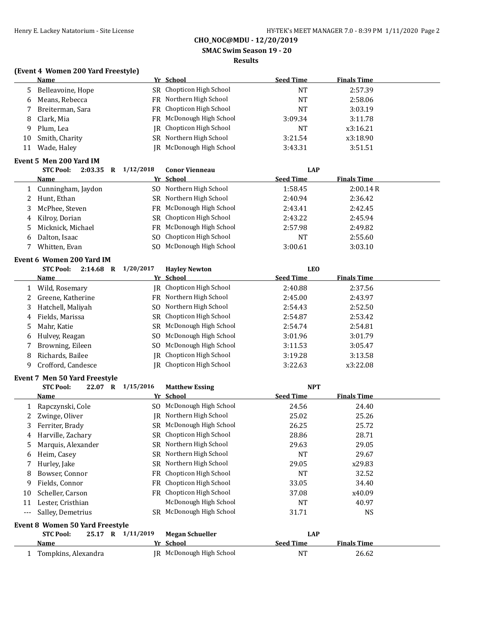**SMAC Swim Season 19 - 20**

### **Results**

## **(Event 4 Women 200 Yard Freestyle)**

|       | <b>Name</b>                                           |                   | Yr School                                            | <b>Seed Time</b> | <b>Finals Time</b> |
|-------|-------------------------------------------------------|-------------------|------------------------------------------------------|------------------|--------------------|
| 5     | Belleavoine, Hope                                     |                   | SR Chopticon High School                             | <b>NT</b>        | 2:57.39            |
| 6     | Means, Rebecca                                        |                   | FR Northern High School                              | <b>NT</b>        | 2:58.06            |
| 7     | Breiterman, Sara                                      |                   | FR Chopticon High School                             | <b>NT</b>        | 3:03.19            |
| 8     | Clark, Mia                                            | FR                | McDonough High School                                | 3:09.34          | 3:11.78            |
| 9     | Plum, Lea                                             | IR                | Chopticon High School                                | <b>NT</b>        | x3:16.21           |
| 10    | Smith, Charity                                        | SR                | Northern High School                                 | 3:21.54          | x3:18.90           |
| 11    | Wade, Haley                                           |                   | JR McDonough High School                             | 3:43.31          | 3:51.51            |
|       | Event 5 Men 200 Yard IM                               |                   |                                                      |                  |                    |
|       | <b>STC Pool:</b><br>2:03.35 R 1/12/2018               |                   | <b>Conor Vienneau</b>                                | <b>LAP</b>       |                    |
|       | <u>Name</u>                                           |                   | Yr School                                            | <b>Seed Time</b> | <b>Finals Time</b> |
| 1     | Cunningham, Jaydon                                    |                   | SO Northern High School                              | 1:58.45          | 2:00.14R           |
| 2     | Hunt, Ethan                                           |                   | SR Northern High School                              | 2:40.94          | 2:36.42            |
| 3     | McPhee, Steven                                        |                   | FR McDonough High School                             | 2:43.41          | 2:42.45            |
| 4     | Kilroy, Dorian                                        |                   | SR Chopticon High School                             | 2:43.22          | 2:45.94            |
| 5     | Micknick, Michael                                     | FR                | McDonough High School                                | 2:57.98          | 2:49.82            |
| 6     | Dalton, Isaac                                         | S <sub>0</sub>    | Chopticon High School                                | <b>NT</b>        | 2:55.60            |
| 7     | Whitten, Evan                                         | S <sub>0</sub>    | McDonough High School                                | 3:00.61          | 3:03.10            |
|       |                                                       |                   |                                                      |                  |                    |
|       | Event 6 Women 200 Yard IM<br>STC Pool:<br>$2:14.68$ R | 1/20/2017         |                                                      | <b>LEO</b>       |                    |
|       | <u>Name</u>                                           |                   | <b>Hayley Newton</b><br>Yr School                    | <b>Seed Time</b> | <b>Finals Time</b> |
| 1     | Wild, Rosemary                                        |                   | JR Chopticon High School                             | 2:40.88          | 2:37.56            |
| 2     | Greene, Katherine                                     |                   | FR Northern High School                              | 2:45.00          | 2:43.97            |
| 3     | Hatchell, Maliyah                                     | SO.               | Northern High School                                 | 2:54.43          | 2:52.50            |
| 4     | Fields, Marissa                                       |                   | SR Chopticon High School                             | 2:54.87          | 2:53.42            |
| 5     | Mahr, Katie                                           |                   | SR McDonough High School                             | 2:54.74          | 2:54.81            |
| 6     | Hulvey, Reagan                                        | SO.               | McDonough High School                                | 3:01.96          | 3:01.79            |
| 7     | Browning, Eileen                                      | SO.               | McDonough High School                                | 3:11.53          | 3:05.47            |
| 8     | Richards, Bailee                                      | IR                | Chopticon High School                                | 3:19.28          | 3:13.58            |
| 9     | Crofford, Candesce                                    | IR                | Chopticon High School                                | 3:22.63          | x3:22.08           |
|       |                                                       |                   |                                                      |                  |                    |
|       | Event 7 Men 50 Yard Freestyle                         |                   |                                                      |                  |                    |
|       | <b>STC Pool:</b>                                      | 22.07 R 1/15/2016 | <b>Matthew Essing</b>                                | <b>NPT</b>       |                    |
|       | <u>Name</u>                                           |                   | Yr School                                            | <b>Seed Time</b> | <b>Finals Time</b> |
| 1     | Rapczynski, Cole                                      | SO.               | McDonough High School                                | 24.56            | 24.40              |
| 2     | Zwinge, Oliver                                        |                   | <b>IR</b> Northern High School                       | 25.02            | 25.26              |
| 3     | Ferriter, Brady                                       |                   | SR McDonough High School<br>SR Chopticon High School | 26.25            | 25.72              |
| 4     | Harville, Zachary                                     |                   |                                                      | 28.86            | 28.71              |
| 5     | Marquis, Alexander                                    | SR.               | Northern High School<br>Northern High School         | 29.63            | 29.05              |
| 6     | Heim, Casey                                           | SR                |                                                      | <b>NT</b>        | 29.67              |
| 7     | Hurley, Jake                                          | SR                | Northern High School                                 | 29.05            | x29.83             |
| 8     | Bowser, Connor                                        | FR                | Chopticon High School<br>Chopticon High School       | <b>NT</b>        | 32.52              |
| 9     | Fields, Connor                                        | FR.               |                                                      | 33.05            | 34.40              |
| 10    | Scheller, Carson                                      |                   | FR Chopticon High School                             | 37.08            | x40.09             |
| 11    | Lester, Cristhian                                     |                   | McDonough High School                                | <b>NT</b>        | 40.97              |
| $---$ | Salley, Demetrius                                     |                   | SR McDonough High School                             | 31.71            | <b>NS</b>          |
|       | <b>Event 8 Women 50 Yard Freestyle</b>                |                   |                                                      |                  |                    |
|       | <b>STC Pool:</b>                                      | 25.17 R 1/11/2019 | <b>Megan Schueller</b>                               | LAP              |                    |
|       | <u>Name</u>                                           |                   | Yr School                                            | <b>Seed Time</b> | <b>Finals Time</b> |
| 1     | Tompkins, Alexandra                                   |                   | JR McDonough High School                             | <b>NT</b>        | 26.62              |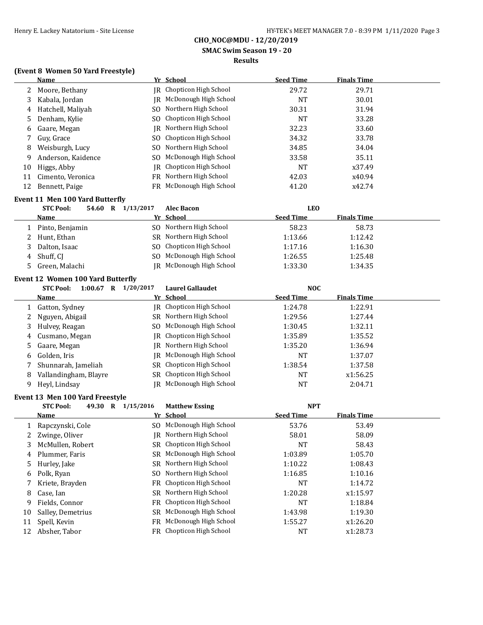**SMAC Swim Season 19 - 20**

### **Results**

## **(Event 8 Women 50 Yard Freestyle)**

|    | <b>Name</b>        |    | Yr School                | <b>Seed Time</b> | <b>Finals Time</b> |  |
|----|--------------------|----|--------------------------|------------------|--------------------|--|
|    | 2 Moore, Bethany   |    | IR Chopticon High School | 29.72            | 29.71              |  |
| 3  | Kabala, Jordan     | IR | McDonough High School    | <b>NT</b>        | 30.01              |  |
| 4  | Hatchell, Maliyah  |    | SO Northern High School  | 30.31            | 31.94              |  |
|    | 5 Denham, Kylie    |    | SO Chopticon High School | <b>NT</b>        | 33.28              |  |
| 6  | Gaare, Megan       | IR | Northern High School     | 32.23            | 33.60              |  |
|    | Guy, Grace         |    | SO Chopticon High School | 34.32            | 33.78              |  |
| 8  | Weisburgh, Lucy    |    | SO Northern High School  | 34.85            | 34.04              |  |
| 9  | Anderson, Kaidence |    | SO McDonough High School | 33.58            | 35.11              |  |
| 10 | Higgs, Abby        |    | IR Chopticon High School | NT               | x37.49             |  |
| 11 | Cimento, Veronica  |    | FR Northern High School  | 42.03            | x40.94             |  |
| 12 | Bennett, Paige     |    | FR McDonough High School | 41.20            | x42.74             |  |

#### **Event 11 Men 100 Yard Butterfly**

| <b>STC Pool:</b><br>54.60 | R | 1/13/2017 | <b>Alec Bacon</b>               | LEO              |                    |  |
|---------------------------|---|-----------|---------------------------------|------------------|--------------------|--|
| <b>Name</b>               |   |           | Yr School                       | <b>Seed Time</b> | <b>Finals Time</b> |  |
| 1 Pinto, Benjamin         |   |           | SO Northern High School         | 58.23            | 58.73              |  |
| 2 Hunt, Ethan             |   |           | SR Northern High School         | 1:13.66          | 1:12.42            |  |
| 3 Dalton, Isaac           |   |           | SO Chopticon High School        | 1:17.16          | 1:16.30            |  |
| 4 Shuff, CI               |   |           | SO McDonough High School        | 1:26.55          | 1:25.48            |  |
| 5 Green, Malachi          |   |           | <b>IR</b> McDonough High School | 1:33.30          | 1:34.35            |  |

#### **Event 12 Women 100 Yard Butterfly**

|   | <b>STC Pool:</b><br>1:00.67<br>R | 1/20/2017 | Laurel Gallaudet         | <b>NOC</b>       |                    |  |
|---|----------------------------------|-----------|--------------------------|------------------|--------------------|--|
|   | <b>Name</b>                      |           | Yr School                | <b>Seed Time</b> | <b>Finals Time</b> |  |
|   | Gatton, Sydney                   |           | IR Chopticon High School | 1:24.78          | 1:22.91            |  |
|   | 2 Nguyen, Abigail                |           | SR Northern High School  | 1:29.56          | 1:27.44            |  |
| 3 | Hulvey, Reagan                   |           | SO McDonough High School | 1:30.45          | 1:32.11            |  |
| 4 | Cusmano, Megan                   |           | IR Chopticon High School | 1:35.89          | 1:35.52            |  |
|   | 5 Gaare, Megan                   |           | IR Northern High School  | 1:35.20          | 1:36.94            |  |
| 6 | Golden, Iris                     |           | IR McDonough High School | NT               | 1:37.07            |  |
|   | Shunnarah, Jameliah              |           | SR Chopticon High School | 1:38.54          | 1:37.58            |  |
| 8 | Vallandingham, Blayre            |           | SR Chopticon High School | NT               | x1:56.25           |  |
| 9 | Heyl, Lindsay                    |           | IR McDonough High School | NT               | 2:04.71            |  |

#### **Event 13 Men 100 Yard Freestyle**

|    | <b>STC Pool:</b>  | 49.30 | R | 1/15/2016 | <b>Matthew Essing</b>    |                  | <b>NPT</b>         |  |
|----|-------------------|-------|---|-----------|--------------------------|------------------|--------------------|--|
|    | <b>Name</b>       |       |   |           | Yr School                | <b>Seed Time</b> | <b>Finals Time</b> |  |
|    | Rapczynski, Cole  |       |   |           | SO McDonough High School | 53.76            | 53.49              |  |
|    | Zwinge, Oliver    |       |   | IR        | Northern High School     | 58.01            | 58.09              |  |
| 3  | McMullen, Robert  |       |   |           | SR Chopticon High School | NT               | 58.43              |  |
| 4  | Plummer, Faris    |       |   |           | SR McDonough High School | 1:03.89          | 1:05.70            |  |
| 5. | Hurley, Jake      |       |   |           | SR Northern High School  | 1:10.22          | 1:08.43            |  |
| 6  | Polk, Ryan        |       |   |           | SO Northern High School  | 1:16.85          | 1:10.16            |  |
|    | Kriete, Brayden   |       |   |           | FR Chopticon High School | NT               | 1:14.72            |  |
| 8  | Case, Ian         |       |   |           | SR Northern High School  | 1:20.28          | x1:15.97           |  |
| 9  | Fields, Connor    |       |   |           | FR Chopticon High School | NT               | 1:18.84            |  |
| 10 | Salley, Demetrius |       |   |           | SR McDonough High School | 1:43.98          | 1:19.30            |  |
| 11 | Spell, Kevin      |       |   | FR.       | McDonough High School    | 1:55.27          | x1:26.20           |  |
| 12 | Absher, Tabor     |       |   |           | FR Chopticon High School | NT               | x1:28.73           |  |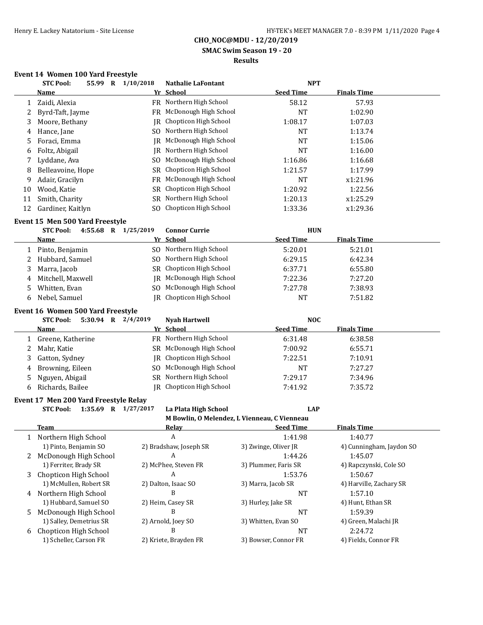**SMAC Swim Season 19 - 20**

## **Results**

## **Event 14 Women 100 Yard Freestyle**

|    | <b>STC Pool:</b>                                        | 55.99 R 1/10/2018 | <b>Nathalie LaFontant</b>                    | <b>NPT</b>                     |                          |
|----|---------------------------------------------------------|-------------------|----------------------------------------------|--------------------------------|--------------------------|
|    | Name                                                    |                   | Yr School                                    | <b>Seed Time</b>               | <b>Finals Time</b>       |
| 1  | Zaidi, Alexia                                           |                   | FR Northern High School                      | 58.12                          | 57.93                    |
| 2  | Byrd-Taft, Jayme                                        |                   | FR McDonough High School                     | <b>NT</b>                      | 1:02.90                  |
| 3  | Moore, Bethany                                          |                   | JR Chopticon High School                     | 1:08.17                        | 1:07.03                  |
| 4  | Hance, Jane                                             |                   | SO Northern High School                      | <b>NT</b>                      | 1:13.74                  |
| 5  | Foraci, Emma                                            |                   | JR McDonough High School                     | <b>NT</b>                      | 1:15.06                  |
| 6  | Foltz, Abigail                                          |                   | <b>IR</b> Northern High School               | <b>NT</b>                      | 1:16.00                  |
| 7  | Lyddane, Ava                                            | SO.               | McDonough High School                        | 1:16.86                        | 1:16.68                  |
| 8  | Belleavoine, Hope                                       | <b>SR</b>         | Chopticon High School                        | 1:21.57                        | 1:17.99                  |
| 9  | Adair, Gracilyn                                         |                   | FR McDonough High School                     | <b>NT</b>                      | x1:21.96                 |
| 10 | Wood, Katie                                             | SR                | Chopticon High School                        | 1:20.92                        | 1:22.56                  |
| 11 | Smith, Charity                                          |                   | SR Northern High School                      | 1:20.13                        | x1:25.29                 |
| 12 | Gardiner, Kaitlyn                                       |                   | SO Chopticon High School                     | 1:33.36                        | x1:29.36                 |
|    |                                                         |                   |                                              |                                |                          |
|    | Event 15 Men 500 Yard Freestyle                         |                   |                                              |                                |                          |
|    | <b>STC Pool:</b><br>4:55.68 R 1/25/2019                 |                   | <b>Connor Currie</b>                         | <b>HUN</b>                     |                          |
|    | Name                                                    |                   | Yr School                                    | <b>Seed Time</b>               | <b>Finals Time</b>       |
| 1  | Pinto, Benjamin                                         |                   | SO Northern High School                      | 5:20.01                        | 5:21.01                  |
| 2  | Hubbard, Samuel                                         |                   | SO Northern High School                      | 6:29.15                        | 6:42.34                  |
| 3  | Marra, Jacob                                            |                   | SR Chopticon High School                     | 6:37.71                        | 6:55.80                  |
| 4  | Mitchell, Maxwell                                       |                   | JR McDonough High School                     | 7:22.36                        | 7:27.20                  |
| 5  | Whitten, Evan                                           |                   | SO McDonough High School                     | 7:27.78                        | 7:38.93                  |
| 6  | Nebel, Samuel                                           |                   | <b>JR</b> Chopticon High School              | <b>NT</b>                      | 7:51.82                  |
|    |                                                         |                   |                                              |                                |                          |
|    | Event 16 Women 500 Yard Freestyle<br>5:30.94 R 2/4/2019 |                   |                                              |                                |                          |
|    | <b>STC Pool:</b>                                        |                   | <b>Nyah Hartwell</b>                         | <b>NOC</b><br><b>Seed Time</b> | <b>Finals Time</b>       |
|    | Name                                                    |                   | Yr School                                    |                                |                          |
| 1  | Greene, Katherine                                       |                   | FR Northern High School                      | 6:31.48                        | 6:38.58                  |
| 2  | Mahr, Katie                                             |                   | SR McDonough High School                     | 7:00.92                        | 6:55.71                  |
| 3  | Gatton, Sydney                                          | IR                | Chopticon High School                        | 7:22.51                        | 7:10.91                  |
| 4  | Browning, Eileen                                        | SO.               | McDonough High School                        | <b>NT</b>                      | 7:27.27                  |
| 5  | Nguyen, Abigail                                         |                   | SR Northern High School                      | 7:29.17                        | 7:34.96                  |
| 6  | Richards, Bailee                                        |                   | IR Chopticon High School                     | 7:41.92                        | 7:35.72                  |
|    | Event 17 Men 200 Yard Freestyle Relay                   |                   |                                              |                                |                          |
|    | <b>STC Pool:</b><br>1:35.69 R 1/27/2017                 |                   | La Plata High School                         | <b>LAP</b>                     |                          |
|    |                                                         |                   | M Bowlin, O Melendez, L Vienneau, C Vienneau |                                |                          |
|    | <b>Team</b>                                             |                   | <u>Relay</u>                                 | <b>Seed Time</b>               | <b>Finals Time</b>       |
| 1  | Northern High School                                    |                   | A                                            | 1:41.98                        | 1:40.77                  |
|    | 1) Pinto, Benjamin SO                                   |                   | 2) Bradshaw, Joseph SR                       | 3) Zwinge, Oliver JR           | 4) Cunningham, Jaydon SO |
| 2  | McDonough High School                                   |                   | A                                            | 1:44.26                        | 1:45.07                  |
|    | 1) Ferriter, Brady SR                                   |                   | 2) McPhee, Steven FR                         | 3) Plummer, Faris SR           | 4) Rapczynski, Cole SO   |
| 3  | Chopticon High School                                   |                   | А                                            | 1:53.76                        | 1:50.67                  |
|    | 1) McMullen, Robert SR                                  |                   | 2) Dalton, Isaac SO                          | 3) Marra, Jacob SR             | 4) Harville, Zachary SR  |
|    | 4 Northern High School                                  |                   | B                                            | <b>NT</b>                      | 1:57.10                  |
|    | 1) Hubbard, Samuel SO                                   |                   | 2) Heim, Casey SR                            | 3) Hurley, Jake SR             | 4) Hunt, Ethan SR        |
| 5. | McDonough High School                                   |                   | B                                            | <b>NT</b>                      | 1:59.39                  |
|    | 1) Salley, Demetrius SR                                 |                   | 2) Arnold, Joey SO                           | 3) Whitten, Evan SO            | 4) Green, Malachi JR     |
| 6  | Chopticon High School                                   |                   | B                                            | NT                             | 2:24.72                  |
|    | 1) Scheller, Carson FR                                  |                   | 2) Kriete, Brayden FR                        | 3) Bowser, Connor FR           | 4) Fields, Connor FR     |
|    |                                                         |                   |                                              |                                |                          |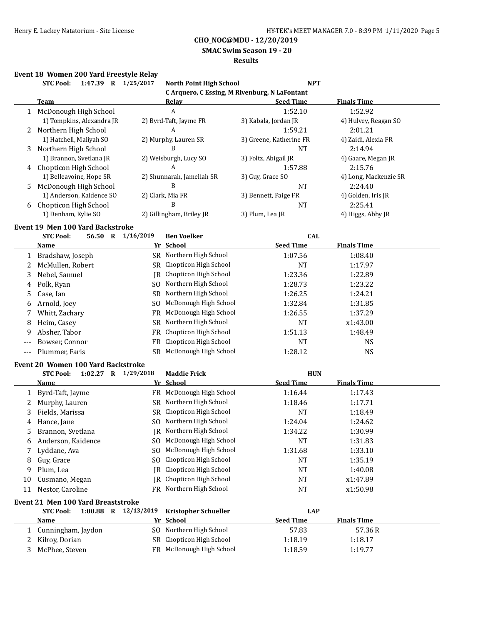## **SMAC Swim Season 19 - 20**

## **Results**

## **Event 18 Women 200 Yard Freestyle Relay**

|     | 1:47.39 R 1/25/2017<br><b>STC Pool:</b>   |           | <b>North Point High School</b>                | <b>NPT</b>              |                       |
|-----|-------------------------------------------|-----------|-----------------------------------------------|-------------------------|-----------------------|
|     |                                           |           | C Arquero, C Essing, M Rivenburg, N LaFontant |                         |                       |
|     | <b>Team</b>                               |           | <b>Relay</b>                                  | <b>Seed Time</b>        | <b>Finals Time</b>    |
|     | 1 McDonough High School                   |           | A                                             | 1:52.10                 | 1:52.92               |
|     | 1) Tompkins, Alexandra JR                 |           | 2) Byrd-Taft, Jayme FR                        | 3) Kabala, Jordan JR    | 4) Hulvey, Reagan SO  |
|     | 2 Northern High School                    |           | A                                             | 1:59.21                 | 2:01.21               |
|     | 1) Hatchell, Maliyah SO                   |           | 2) Murphy, Lauren SR                          | 3) Greene, Katherine FR | 4) Zaidi, Alexia FR   |
|     | 3 Northern High School                    |           | B                                             | <b>NT</b>               | 2:14.94               |
|     | 1) Brannon, Svetlana JR                   |           | 2) Weisburgh, Lucy SO                         | 3) Foltz, Abigail JR    | 4) Gaare, Megan JR    |
|     | 4 Chopticon High School                   |           | A                                             | 1:57.88                 | 2:15.76               |
|     | 1) Belleavoine, Hope SR                   |           | 2) Shunnarah, Jameliah SR                     | 3) Guy, Grace SO        | 4) Long, Mackenzie SR |
| 5   | McDonough High School                     |           | B                                             | NT                      | 2:24.40               |
|     | 1) Anderson, Kaidence SO                  |           | 2) Clark, Mia FR                              | 3) Bennett, Paige FR    | 4) Golden, Iris JR    |
|     | 6 Chopticon High School                   |           | B                                             | <b>NT</b>               | 2:25.41               |
|     | 1) Denham, Kylie SO                       |           | 2) Gillingham, Briley JR                      | 3) Plum, Lea JR         | 4) Higgs, Abby JR     |
|     | <b>Event 19 Men 100 Yard Backstroke</b>   |           |                                               |                         |                       |
|     | <b>STC Pool:</b><br>56.50 R 1/16/2019     |           | <b>Ben Voelker</b>                            | <b>CAL</b>              |                       |
|     | Name                                      |           | Yr School                                     | <b>Seed Time</b>        | <b>Finals Time</b>    |
| 1   | Bradshaw, Joseph                          |           | SR Northern High School                       | 1:07.56                 | 1:08.40               |
| 2   | McMullen, Robert                          |           | SR Chopticon High School                      | <b>NT</b>               | 1:17.97               |
|     |                                           |           | JR Chopticon High School                      | 1:23.36                 |                       |
| 3   | Nebel, Samuel                             |           | SO Northern High School                       |                         | 1:22.89               |
| 4   | Polk, Ryan                                |           | SR Northern High School                       | 1:28.73                 | 1:23.22               |
| 5   | Case, Ian                                 |           |                                               | 1:26.25                 | 1:24.21               |
| 6   | Arnold, Joey                              | SO.       | McDonough High School                         | 1:32.84                 | 1:31.85               |
| 7   | Whitt, Zachary                            | FR.       | McDonough High School                         | 1:26.55                 | 1:37.29               |
| 8   | Heim, Casey                               | <b>SR</b> | Northern High School                          | <b>NT</b>               | x1:43.00              |
| 9   | Absher, Tabor                             | <b>FR</b> | Chopticon High School                         | 1:51.13                 | 1:48.49               |
| --- | Bowser, Connor                            | <b>FR</b> | Chopticon High School                         | <b>NT</b>               | <b>NS</b>             |
| --- | Plummer, Faris                            |           | SR McDonough High School                      | 1:28.12                 | <b>NS</b>             |
|     | <b>Event 20 Women 100 Yard Backstroke</b> |           |                                               |                         |                       |
|     | 1:02.27 R 1/29/2018<br><b>STC Pool:</b>   |           | <b>Maddie Frick</b>                           | <b>HUN</b>              |                       |
|     | Name                                      |           | Yr School                                     | <b>Seed Time</b>        | <b>Finals Time</b>    |
| 1   | Byrd-Taft, Jayme                          |           | FR McDonough High School                      | 1:16.44                 | 1:17.43               |
| 2   | Murphy, Lauren                            |           | SR Northern High School                       | 1:18.46                 | 1:17.71               |
| 3   | Fields, Marissa                           |           | SR Chopticon High School                      | <b>NT</b>               | 1:18.49               |
| 4   | Hance, Jane                               |           | SO Northern High School                       | 1:24.04                 | 1:24.62               |
| 5   | Brannon, Svetlana                         |           | JR Northern High School                       | 1:34.22                 | 1:30.99               |
| 6   | Anderson, Kaidence                        |           | SO McDonough High School                      | NT                      | 1:31.83               |
|     | Lyddane, Ava                              | SO.       | McDonough High School                         | 1:31.68                 | 1:33.10               |
| 8   | Guy, Grace                                | SO.       | Chopticon High School                         | <b>NT</b>               | 1:35.19               |
|     | Plum, Lea                                 | IR        | Chopticon High School                         | <b>NT</b>               | 1:40.08               |
| 9   |                                           |           | Chopticon High School                         |                         |                       |
| 10  | Cusmano, Megan                            | IR        |                                               | NT                      | x1:47.89              |
| 11  | Nestor, Caroline                          |           | FR Northern High School                       | <b>NT</b>               | x1:50.98              |
|     | <b>Event 21 Men 100 Yard Breaststroke</b> |           |                                               |                         |                       |
|     | <b>STC Pool:</b><br>1:00.88 R 12/13/2019  |           | <b>Kristopher Schueller</b>                   | <b>LAP</b>              |                       |
|     | <u>Name</u>                               | Yr        | School                                        | <b>Seed Time</b>        | <b>Finals Time</b>    |
| 1   | Cunningham, Jaydon                        |           | SO Northern High School                       | 57.83                   | 57.36R                |
| 2   | Kilroy, Dorian                            |           | SR Chopticon High School                      | 1:18.19                 | 1:18.17               |
| 3   | McPhee, Steven                            |           | FR McDonough High School                      | 1:18.59                 | 1:19.77               |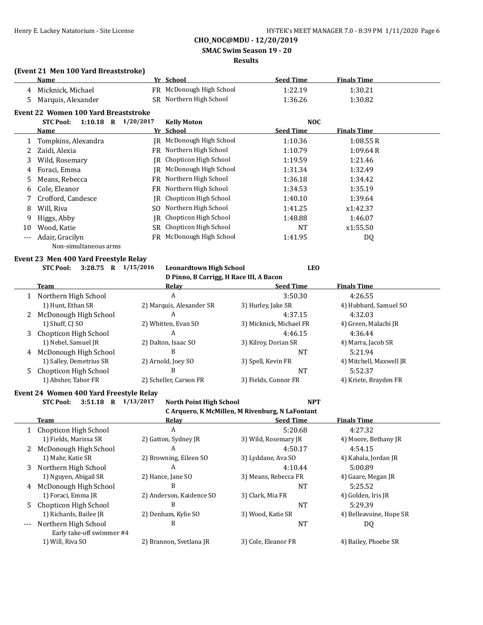**SMAC Swim Season 19 - 20**

## **Results**

#### **(Event 21 Men 100 Yard Breaststroke)**

|     | Name                                 |           | Yr School             | <b>Seed Time</b> | <b>Finals Time</b> |  |
|-----|--------------------------------------|-----------|-----------------------|------------------|--------------------|--|
| 4   | Micknick, Michael                    | FR.       | McDonough High School | 1:22.19          | 1:30.21            |  |
| 5   | Marquis, Alexander                   | SR        | Northern High School  | 1:36.26          | 1:30.82            |  |
|     | Event 22 Women 100 Yard Breaststroke |           |                       |                  |                    |  |
|     | <b>STC Pool:</b><br>$1:10.18$ R      | 1/20/2017 | <b>Kelly Moton</b>    | <b>NOC</b>       |                    |  |
|     | Name                                 |           | Yr School             | <b>Seed Time</b> | <b>Finals Time</b> |  |
|     | Tompkins, Alexandra                  | IR        | McDonough High School | 1:10.36          | 1:08.55R           |  |
|     | Zaidi, Alexia                        | FR.       | Northern High School  | 1:10.79          | 1:09.64R           |  |
| 3   | Wild, Rosemary                       | IR        | Chopticon High School | 1:19.59          | 1:21.46            |  |
| 4   | Foraci, Emma                         | IR        | McDonough High School | 1:31.34          | 1:32.49            |  |
| 5   | Means, Rebecca                       | FR        | Northern High School  | 1:36.18          | 1:34.42            |  |
| 6   | Cole, Eleanor                        | FR        | Northern High School  | 1:34.53          | 1:35.19            |  |
|     | Crofford, Candesce                   | IR        | Chopticon High School | 1:40.10          | 1:39.64            |  |
| 8   | Will, Riva                           | SO.       | Northern High School  | 1:41.25          | x1:42.37           |  |
| 9   | Higgs, Abby                          | IR        | Chopticon High School | 1:48.88          | 1:46.07            |  |
| 10  | Wood, Katie                          | SR        | Chopticon High School | <b>NT</b>        | x1:55.50           |  |
| --- | Adair, Gracilyn                      | FR        | McDonough High School | 1:41.95          | DQ                 |  |
|     | Non-simultaneous arms                |           |                       |                  |                    |  |

#### **Event 23 Men 400 Yard Freestyle Relay**

#### **STC Pool: 3:28.75 R 1/15/2016 Leonardtown High School LEO D Pinno, B Carrigg, H Race III, A Bacon**

|   | oo,                     |                          |                         |                         |  |  |
|---|-------------------------|--------------------------|-------------------------|-------------------------|--|--|
|   | Team                    | Relav                    | <b>Seed Time</b>        | <b>Finals Time</b>      |  |  |
|   | Northern High School    | А                        | 3:50.30                 | 4:26.55                 |  |  |
|   | 1) Hunt, Ethan SR       | 2) Marquis, Alexander SR | 3) Hurley, Jake SR      | 4) Hubbard, Samuel SO   |  |  |
|   | 2 McDonough High School | A                        | 4:37.15                 | 4:32.03                 |  |  |
|   | 1) Shuff, CJ SO         | 2) Whitten, Evan SO      | 3) Micknick, Michael FR | 4) Green, Malachi JR    |  |  |
| 3 | Chopticon High School   | А                        | 4:46.15                 | 4:36.44                 |  |  |
|   | 1) Nebel, Samuel JR     | 2) Dalton, Isaac SO      | 3) Kilroy, Dorian SR    | 4) Marra, Jacob SR      |  |  |
|   | 4 McDonough High School | В                        | NΤ                      | 5:21.94                 |  |  |
|   | 1) Salley, Demetrius SR | 2) Arnold, Joey SO       | 3) Spell, Kevin FR      | 4) Mitchell, Maxwell JR |  |  |
|   | 5 Chopticon High School | В                        | NT                      | 5:52.37                 |  |  |
|   | 1) Absher, Tabor FR     | 2) Scheller, Carson FR   | 3) Fields, Connor FR    | 4) Kriete, Brayden FR   |  |  |

#### **Event 24 Women 400 Yard Freestyle Relay**

**STC Pool: 3:51.18 R 1/13/2017 North Point High School NPT**

**C Arquero, K McMillen, M Rivenburg, N LaFontant**

|    | Team                      | Relav                    | <b>Seed Time</b>     | <b>Finals Time</b>      |
|----|---------------------------|--------------------------|----------------------|-------------------------|
|    | Chopticon High School     | A                        | 5:20.68              | 4:27.32                 |
|    | 1) Fields, Marissa SR     | 2) Gatton, Sydney JR     | 3) Wild, Rosemary JR | 4) Moore, Bethany JR    |
| 2  | McDonough High School     | A                        | 4:50.17              | 4:54.15                 |
|    | 1) Mahr, Katie SR         | 2) Browning, Eileen SO   | 3) Lyddane, Ava SO   | 4) Kabala, Jordan JR    |
| 3  | Northern High School      | A                        | 4:10.44              | 5:00.89                 |
|    | 1) Nguyen, Abigail SR     | 2) Hance, Jane SO        | 3) Means, Rebecca FR | 4) Gaare, Megan JR      |
| 4  | McDonough High School     | B                        | NT                   | 5:25.52                 |
|    | 1) Foraci, Emma JR        | 2) Anderson, Kaidence SO | 3) Clark, Mia FR     | 4) Golden, Iris JR      |
| 5. | Chopticon High School     | B                        | <b>NT</b>            | 5:29.39                 |
|    | 1) Richards, Bailee JR    | 2) Denham, Kylie SO      | 3) Wood, Katie SR    | 4) Belleavoine, Hope SR |
|    | --- Northern High School  | B                        | <b>NT</b>            | DQ                      |
|    | Early take-off swimmer #4 |                          |                      |                         |
|    | 1) Will, Riva SO          | 2) Brannon, Svetlana JR  | 3) Cole, Eleanor FR  | 4) Bailey, Phoebe SR    |